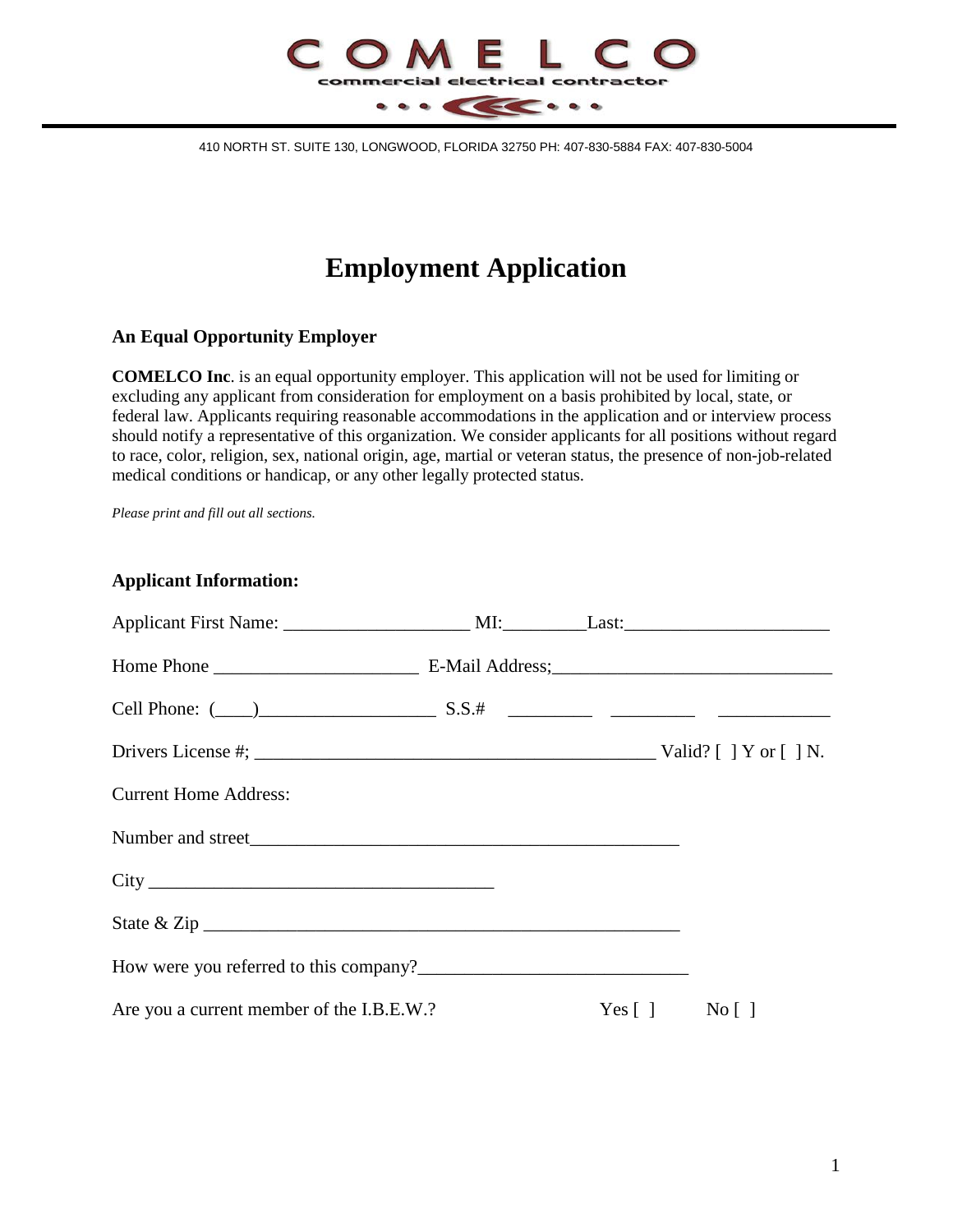

410 NORTH ST. SUITE 130, LONGWOOD, FLORIDA 32750 PH: 407-830-5884 FAX: 407-830-5004

# **Employment Application**

#### **An Equal Opportunity Employer**

**COMELCO Inc**. is an equal opportunity employer. This application will not be used for limiting or excluding any applicant from consideration for employment on a basis prohibited by local, state, or federal law. Applicants requiring reasonable accommodations in the application and or interview process should notify a representative of this organization. We consider applicants for all positions without regard to race, color, religion, sex, national origin, age, martial or veteran status, the presence of non-job-related medical conditions or handicap, or any other legally protected status.

*Please print and fill out all sections.*

**Applicant Information:**

| <b>Current Home Address:</b>              |  |                 |
|-------------------------------------------|--|-----------------|
|                                           |  |                 |
|                                           |  |                 |
|                                           |  |                 |
|                                           |  |                 |
| Are you a current member of the I.B.E.W.? |  | $Yes [ ]$ No [] |
|                                           |  |                 |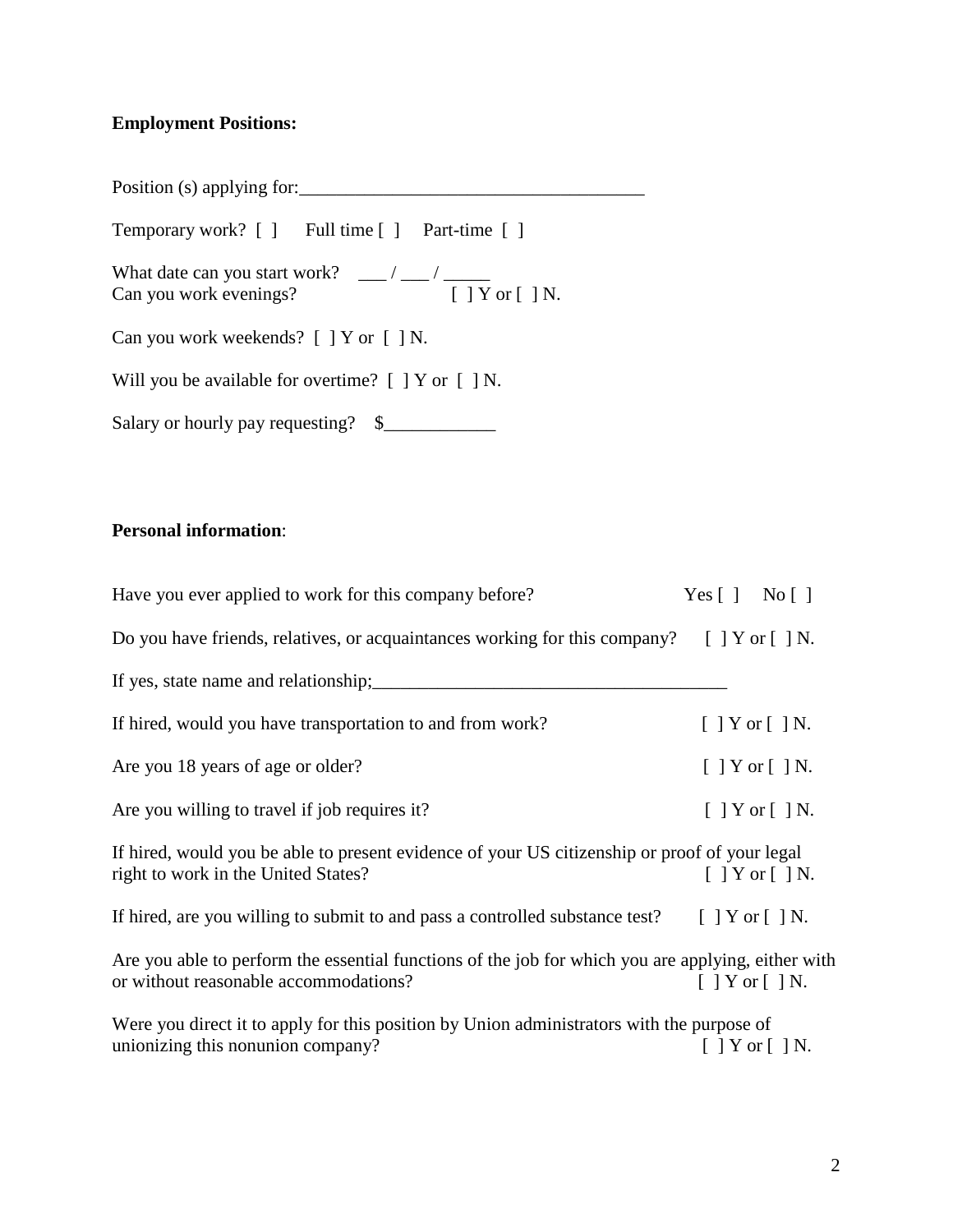#### **Employment Positions:**

Position (s) applying for:\_\_\_\_\_\_\_\_\_\_\_\_\_\_\_\_\_\_\_\_\_\_\_\_\_\_\_\_\_\_\_\_\_\_\_\_\_

Temporary work? [ ] Full time [ ] Part-time [ ]

What date can you start work?  $\frac{1}{\sqrt{2\pi}}$  /  $\frac{1}{\sqrt{2\pi}}$ Can you work evenings? [ ] Y or [ ] N.

Can you work weekends? [ ] Y or [ ] N.

Will you be available for overtime? [ ] Y or [ ] N.

Salary or hourly pay requesting?  $\quad \quad \text{S}$ 

#### **Personal information**:

| Have you ever applied to work for this company before?                                                                                      | Yes $\lceil \cdot \rceil$ No $\lceil \cdot \rceil$ |
|---------------------------------------------------------------------------------------------------------------------------------------------|----------------------------------------------------|
| Do you have friends, relatives, or acquaintances working for this company? $[$ $]$ $Y$ or $[$ $]$ N.                                        |                                                    |
| If yes, state name and relationship;                                                                                                        |                                                    |
| If hired, would you have transportation to and from work?                                                                                   | $[$ ] Y or $[$ ] N.                                |
| Are you 18 years of age or older?                                                                                                           | $[$ ] Y or $[$ ] N.                                |
| Are you willing to travel if job requires it?                                                                                               | $[$   Y or $[$   N.                                |
| If hired, would you be able to present evidence of your US citizenship or proof of your legal<br>right to work in the United States?        | $\lceil$   Y or $\lceil$   N.                      |
| If hired, are you willing to submit to and pass a controlled substance test? $[\ ]$ Y or $[\ ]$ N.                                          |                                                    |
| Are you able to perform the essential functions of the job for which you are applying, either with<br>or without reasonable accommodations? | $\lceil$   Y or $\lceil$   N.                      |
| Were you direct it to apply for this position by Union administrators with the purpose of<br>unionizing this nonunion company?              | $[$   Y or $[$   N.                                |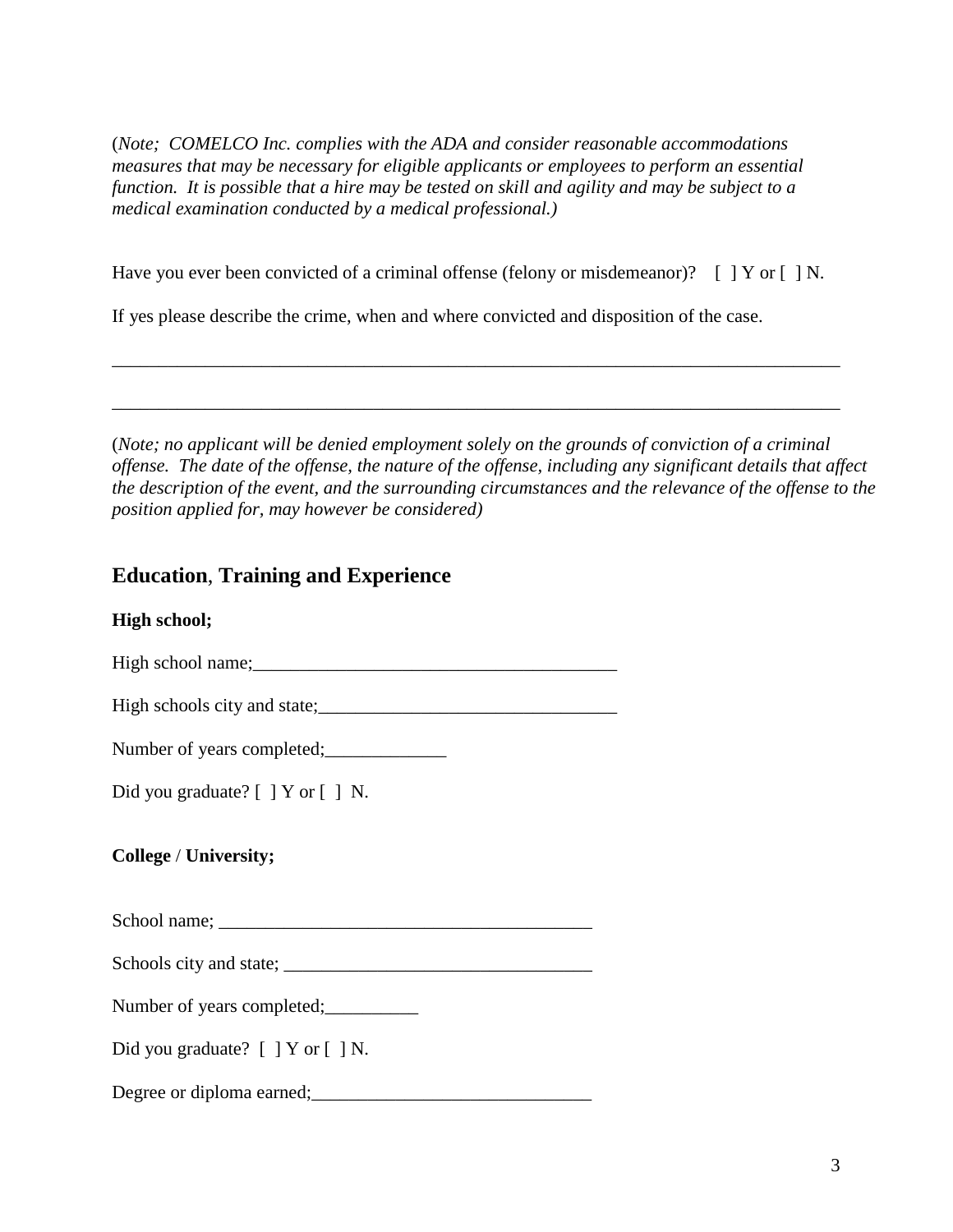(*Note; COMELCO Inc. complies with the ADA and consider reasonable accommodations measures that may be necessary for eligible applicants or employees to perform an essential function. It is possible that a hire may be tested on skill and agility and may be subject to a medical examination conducted by a medical professional.)*

Have you ever been convicted of a criminal offense (felony or misdemeanor)? [ ] Y or [ ] N.

\_\_\_\_\_\_\_\_\_\_\_\_\_\_\_\_\_\_\_\_\_\_\_\_\_\_\_\_\_\_\_\_\_\_\_\_\_\_\_\_\_\_\_\_\_\_\_\_\_\_\_\_\_\_\_\_\_\_\_\_\_\_\_\_\_\_\_\_\_\_\_\_\_\_\_\_\_\_

\_\_\_\_\_\_\_\_\_\_\_\_\_\_\_\_\_\_\_\_\_\_\_\_\_\_\_\_\_\_\_\_\_\_\_\_\_\_\_\_\_\_\_\_\_\_\_\_\_\_\_\_\_\_\_\_\_\_\_\_\_\_\_\_\_\_\_\_\_\_\_\_\_\_\_\_\_\_

If yes please describe the crime, when and where convicted and disposition of the case.

(*Note; no applicant will be denied employment solely on the grounds of conviction of a criminal offense. The date of the offense, the nature of the offense, including any significant details that affect the description of the event, and the surrounding circumstances and the relevance of the offense to the position applied for, may however be considered)*

## **Education**, **Training and Experience**

## **High school;**

High school name;\_\_\_\_\_\_\_\_\_\_\_\_\_\_\_\_\_\_\_\_\_\_\_\_\_\_\_\_\_\_\_\_\_\_\_\_\_\_\_

High schools city and state;<br> $\frac{1}{2}$ 

Number of years completed;

Did you graduate? [ ] Y or [ ] N.

**College** / **University;**

 $School name;$ 

Schools city and state; \_\_\_\_\_\_\_\_\_\_\_\_\_\_\_\_\_\_\_\_\_\_\_\_\_\_\_\_\_\_\_\_\_

Number of years completed;

Did you graduate? [ ] Y or [ ] N.

Degree or diploma earned;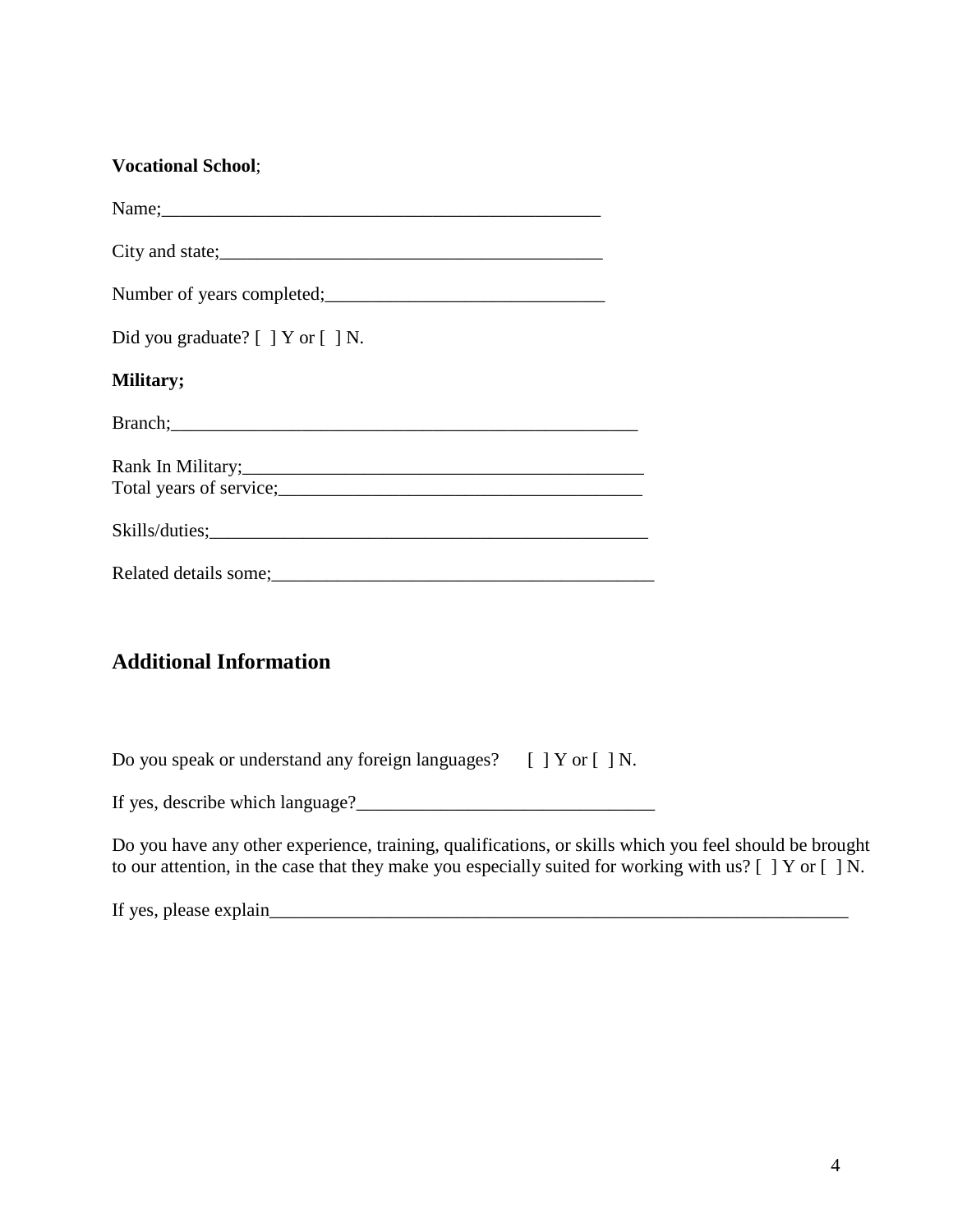### **Vocational School**;

| Name; Names and the second contract of the second contract of the second contract of the second contract of the second contract of the second contract of the second contract of the second contract of the second contract of                |
|-----------------------------------------------------------------------------------------------------------------------------------------------------------------------------------------------------------------------------------------------|
| City and state;<br><u>City and state;</u>                                                                                                                                                                                                     |
| Number of years completed;<br><u>Letting</u> and the set of years completed;                                                                                                                                                                  |
| Did you graduate? [ ] Y or [ ] N.                                                                                                                                                                                                             |
| Military;                                                                                                                                                                                                                                     |
| Branch; expression and the contract of the contract of the contract of the contract of the contract of the contract of the contract of the contract of the contract of the contract of the contract of the contract of the con                |
| Total years of service;<br><u>Letting</u> the contract of service;<br>and the contract of service;<br>and the contract of service;<br>and the contract of service;<br>and the contract of the contract of the contract of the contract of the |
|                                                                                                                                                                                                                                               |
|                                                                                                                                                                                                                                               |

## **Additional Information**

Do you speak or understand any foreign languages? [ ] Y or [ ] N.

If yes, describe which language?\_\_\_\_\_\_\_\_\_\_\_\_\_\_\_\_\_\_\_\_\_\_\_\_\_\_\_\_\_\_\_\_

Do you have any other experience, training, qualifications, or skills which you feel should be brought to our attention, in the case that they make you especially suited for working with us? [ ] Y or [ ] N.

If yes, please explain\_\_\_\_\_\_\_\_\_\_\_\_\_\_\_\_\_\_\_\_\_\_\_\_\_\_\_\_\_\_\_\_\_\_\_\_\_\_\_\_\_\_\_\_\_\_\_\_\_\_\_\_\_\_\_\_\_\_\_\_\_\_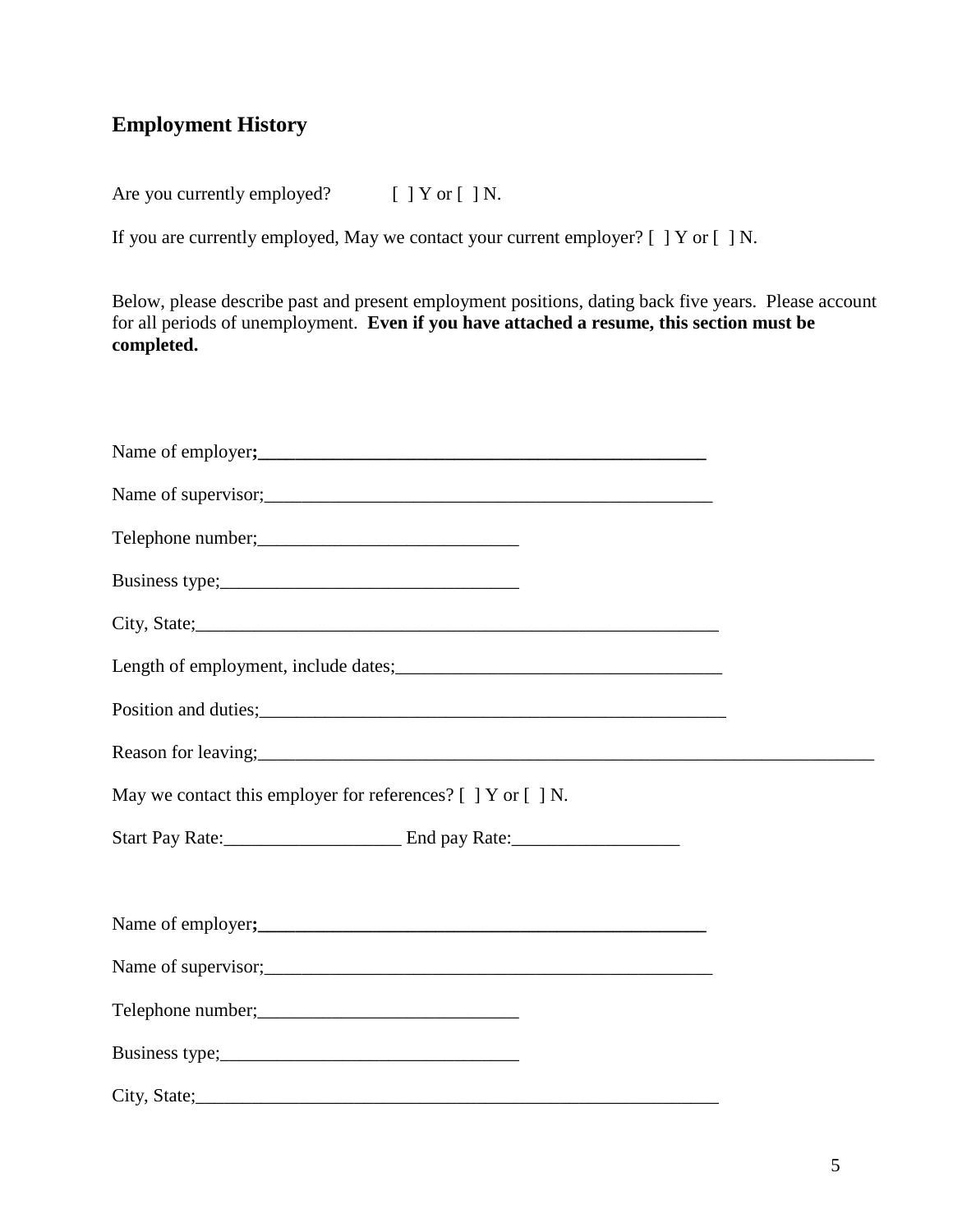# **Employment History**

Are you currently employed? [ ] Y or [ ] N.

If you are currently employed, May we contact your current employer? [ ] Y or [ ] N.

Below, please describe past and present employment positions, dating back five years. Please account for all periods of unemployment. **Even if you have attached a resume, this section must be completed.**

| Telephone number;<br><u> </u>                                                                                                                                                                                                          |  |
|----------------------------------------------------------------------------------------------------------------------------------------------------------------------------------------------------------------------------------------|--|
|                                                                                                                                                                                                                                        |  |
| City, State;                                                                                                                                                                                                                           |  |
| Length of employment, include dates;<br><u>Length of employment</u> , include dates;                                                                                                                                                   |  |
| Position and duties;<br><u>Letter and the set of the set of the set of the set of the set of the set of the set of the set of the set of the set of the set of the set of the set of the set of the set of the set of the set of t</u> |  |
| Reason for leaving;<br>entropying the contract of the contract of the contract of the contract of the contract of the contract of the contract of the contract of the contract of the contract of the contract of the contract o       |  |
| May we contact this employer for references? [ ] Y or [ ] N.                                                                                                                                                                           |  |
|                                                                                                                                                                                                                                        |  |
|                                                                                                                                                                                                                                        |  |
|                                                                                                                                                                                                                                        |  |
| Telephone number;<br><u> </u>                                                                                                                                                                                                          |  |
|                                                                                                                                                                                                                                        |  |
| City, State;                                                                                                                                                                                                                           |  |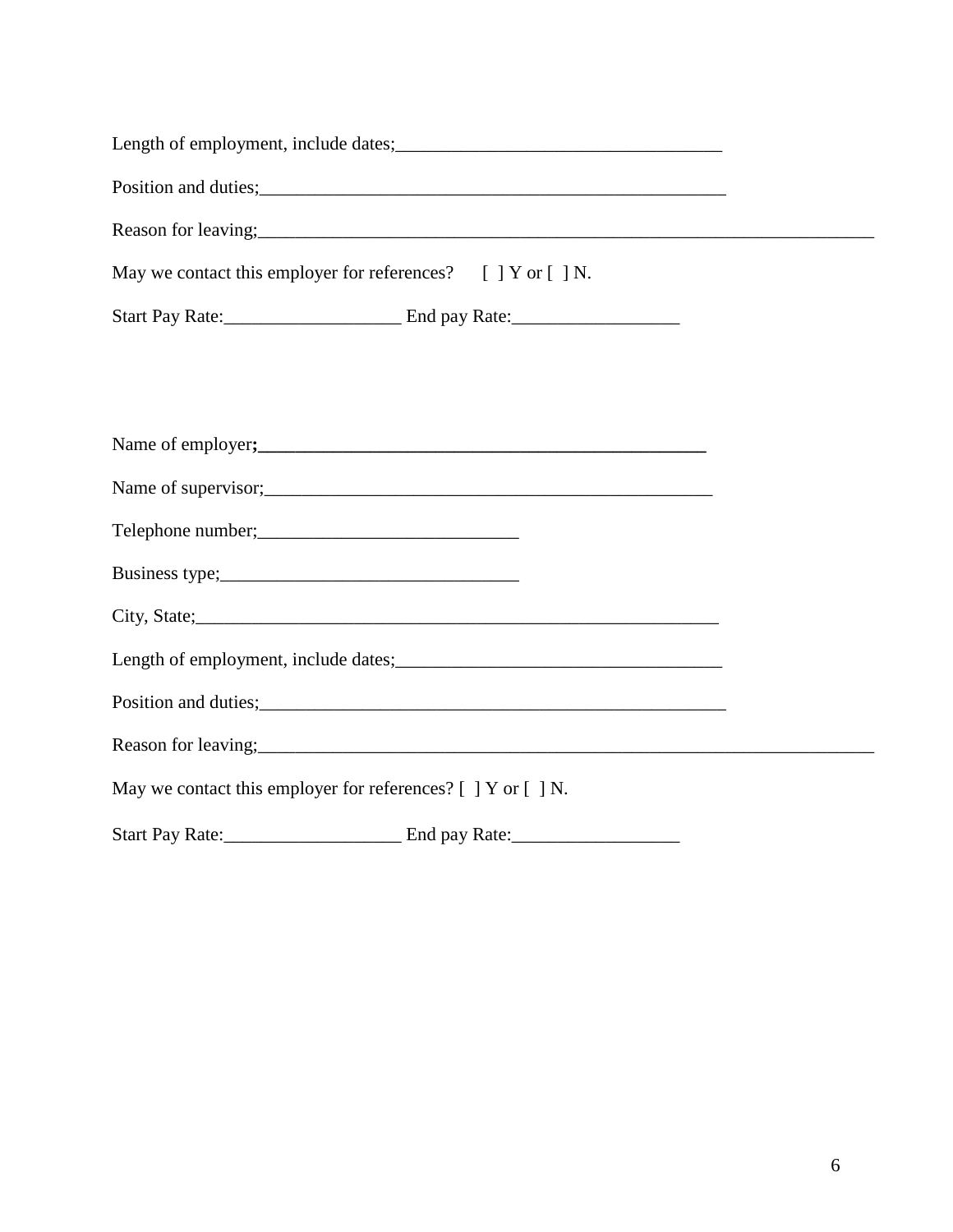| Length of employment, include dates;<br><u>Length of employment</u> , include dates;                                                                                                                                                   |
|----------------------------------------------------------------------------------------------------------------------------------------------------------------------------------------------------------------------------------------|
| Position and duties;<br><u>Letter and the second contract of the second contract of the second contract of the second contract of the second contract of the second contract of the second contract of the second contract of the </u> |
| Reason for leaving;<br>expansion of the contract of the contract of the contract of the contract of the contract of the contract of the contract of the contract of the contract of the contract of the contract of the contract       |
| May we contact this employer for references? $[ ] Y$ or $[ ] N$ .                                                                                                                                                                      |
|                                                                                                                                                                                                                                        |
|                                                                                                                                                                                                                                        |
|                                                                                                                                                                                                                                        |
| Name of employer;<br><u>Name</u> of employer;                                                                                                                                                                                          |
|                                                                                                                                                                                                                                        |
|                                                                                                                                                                                                                                        |
|                                                                                                                                                                                                                                        |
|                                                                                                                                                                                                                                        |
| Length of employment, include dates;<br><u>Length of employment</u> , include dates;                                                                                                                                                   |
| Position and duties;<br><u>example and the set of the set of the set of the set of the set of the set of the set of the set of the set of the set of the set of the set of the set of the set of the set of the set of the set of </u> |
| Reason for leaving;<br><u>Example 2014</u>                                                                                                                                                                                             |
| May we contact this employer for references? [ ] Y or [ ] N.                                                                                                                                                                           |
|                                                                                                                                                                                                                                        |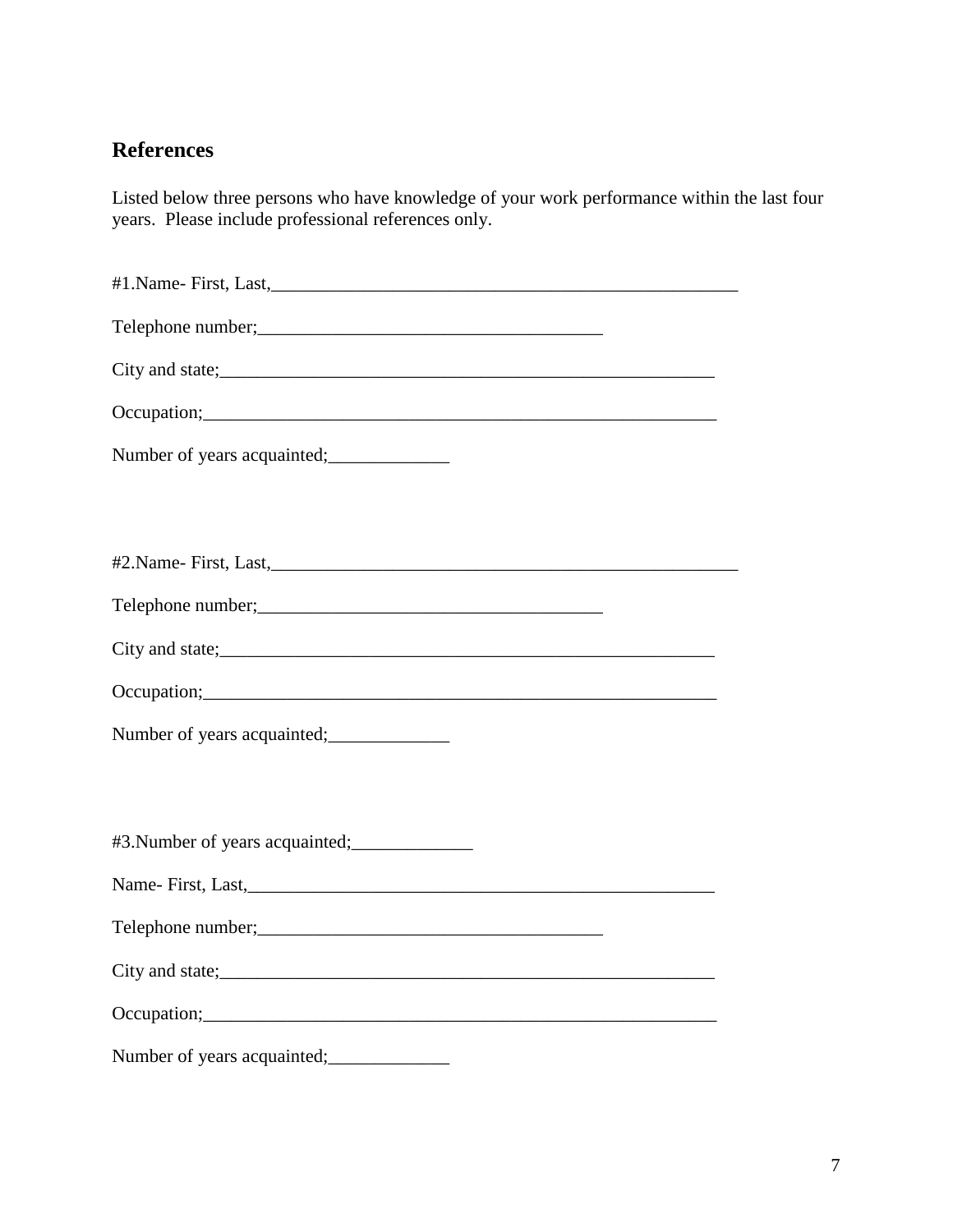# **References**

Listed below three persons who have knowledge of your work performance within the last four years. Please include professional references only.

| City and state;<br><u>City and state;</u>                                                                                                                                                                                      |
|--------------------------------------------------------------------------------------------------------------------------------------------------------------------------------------------------------------------------------|
|                                                                                                                                                                                                                                |
|                                                                                                                                                                                                                                |
|                                                                                                                                                                                                                                |
|                                                                                                                                                                                                                                |
|                                                                                                                                                                                                                                |
|                                                                                                                                                                                                                                |
| City and state;<br><u>City and state</u> ;                                                                                                                                                                                     |
| Occupation; example and the contract of the contract of the contract of the contract of the contract of the contract of the contract of the contract of the contract of the contract of the contract of the contract of the co |
| Number of years acquainted;<br><u>manuscriptives</u>                                                                                                                                                                           |
|                                                                                                                                                                                                                                |
|                                                                                                                                                                                                                                |
|                                                                                                                                                                                                                                |
|                                                                                                                                                                                                                                |
| Telephone number;<br>Telephone number;                                                                                                                                                                                         |
|                                                                                                                                                                                                                                |
|                                                                                                                                                                                                                                |
| Number of years acquainted; ______________                                                                                                                                                                                     |